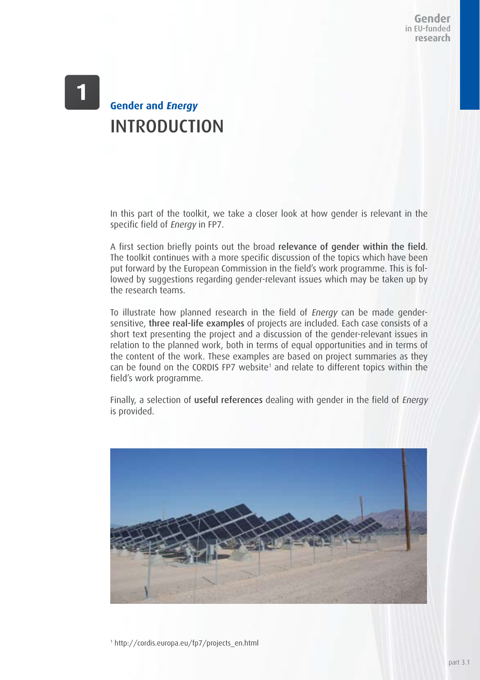Gender in EU-funded research

## **Gender and Energy** INTRODUCTION

In this part of the toolkit, we take a closer look at how gender is relevant in the specific field of Energy in FP7.

A first section briefly points out the broad relevance of gender within the field. The toolkit continues with a more specific discussion of the topics which have been put forward by the European Commission in the field's work programme. This is followed by suggestions regarding gender-relevant issues which may be taken up by the research teams.

To illustrate how planned research in the field of Energy can be made gendersensitive, three real-life examples of projects are included. Each case consists of a short text presenting the project and a discussion of the gender-relevant issues in relation to the planned work, both in terms of equal opportunities and in terms of the content of the work. These examples are based on project summaries as they can be found on the CORDIS FP7 website<sup>1</sup> and relate to different topics within the field's work programme.

Finally, a selection of useful references dealing with gender in the field of *Energy* is provided.



1 http://cordis.europa.eu/fp7/projects\_en.html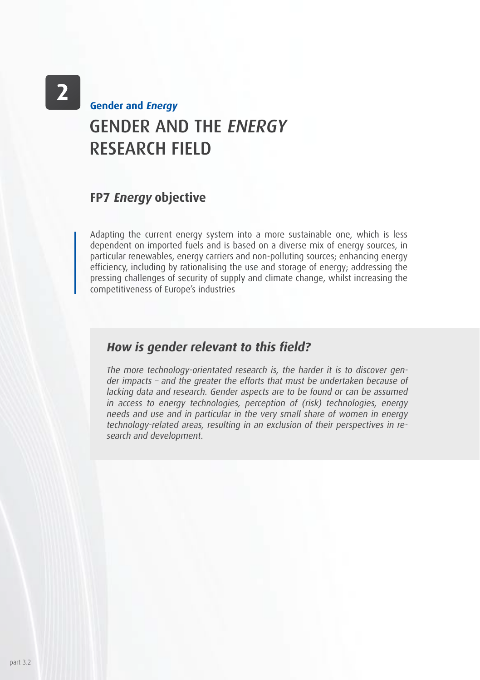# GENDER AND THE ENERGY RESEARCH FIELD **Gender and Energy**

### **FP7 Energy objective**

Adapting the current energy system into a more sustainable one, which is less dependent on imported fuels and is based on a diverse mix of energy sources, in particular renewables, energy carriers and non-polluting sources; enhancing energy efficiency, including by rationalising the use and storage of energy; addressing the pressing challenges of security of supply and climate change, whilst increasing the competitiveness of Europe's industries

### **How is gender relevant to this field?**

The more technology-orientated research is, the harder it is to discover gender impacts – and the greater the efforts that must be undertaken because of lacking data and research. Gender aspects are to be found or can be assumed in access to energy technologies, perception of (risk) technologies, energy needs and use and in particular in the very small share of women in energy technology-related areas, resulting in an exclusion of their perspectives in research and development.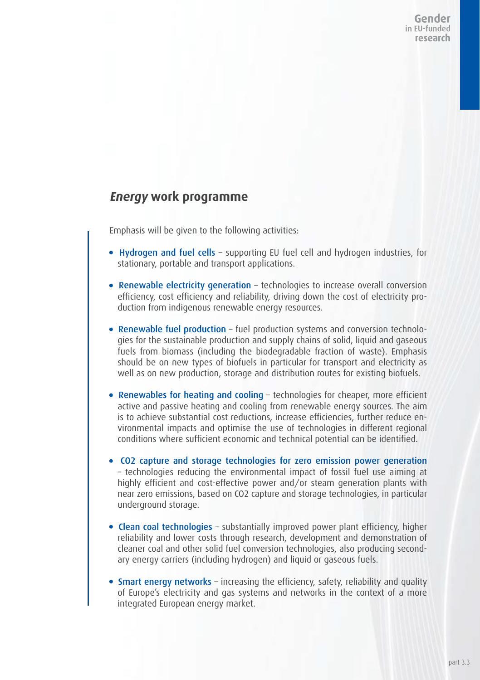Gender in EU-funded research

## **Energy work programme**

Emphasis will be given to the following activities:

- Hydrogen and fuel cells supporting EU fuel cell and hydrogen industries, for stationary, portable and transport applications.
- Renewable electricity generation technologies to increase overall conversion efficiency, cost efficiency and reliability, driving down the cost of electricity production from indigenous renewable energy resources.
- Renewable fuel production fuel production systems and conversion technologies for the sustainable production and supply chains of solid, liquid and gaseous fuels from biomass (including the biodegradable fraction of waste). Emphasis should be on new types of biofuels in particular for transport and electricity as well as on new production, storage and distribution routes for existing biofuels.
- Renewables for heating and cooling technologies for cheaper, more efficient active and passive heating and cooling from renewable energy sources. The aim is to achieve substantial cost reductions, increase efficiencies, further reduce environmental impacts and optimise the use of technologies in different regional conditions where sufficient economic and technical potential can be identified.
- CO2 capture and storage technologies for zero emission power generation – technologies reducing the environmental impact of fossil fuel use aiming at highly efficient and cost-effective power and/or steam generation plants with near zero emissions, based on CO2 capture and storage technologies, in particular underground storage.
- Clean coal technologies substantially improved power plant efficiency, higher reliability and lower costs through research, development and demonstration of cleaner coal and other solid fuel conversion technologies, also producing secondary energy carriers (including hydrogen) and liquid or gaseous fuels.
- Smart energy networks increasing the efficiency, safety, reliability and quality of Europe's electricity and gas systems and networks in the context of a more integrated European energy market.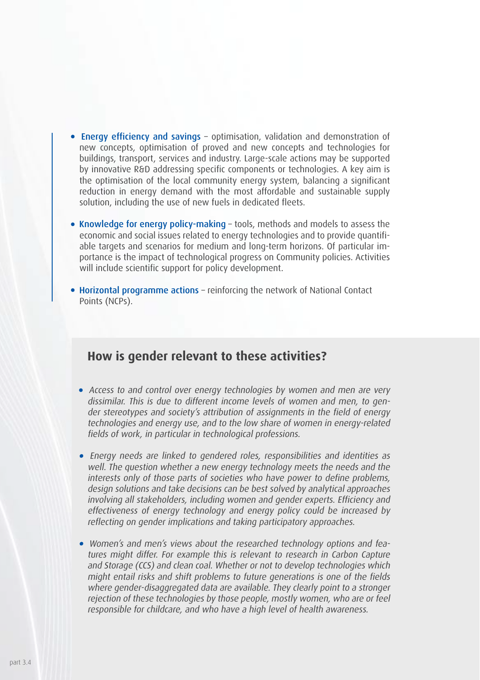- Energy efficiency and savings optimisation, validation and demonstration of new concepts, optimisation of proved and new concepts and technologies for buildings, transport, services and industry. Large-scale actions may be supported by innovative R&D addressing specific components or technologies. A key aim is the optimisation of the local community energy system, balancing a significant reduction in energy demand with the most affordable and sustainable supply solution, including the use of new fuels in dedicated fleets.
- Knowledge for energy policy-making tools, methods and models to assess the economic and social issues related to energy technologies and to provide quantifiable targets and scenarios for medium and long-term horizons. Of particular importance is the impact of technological progress on Community policies. Activities will include scientific support for policy development.
- Horizontal programme actions reinforcing the network of National Contact Points (NCPs).

### **How is gender relevant to these activities?**

- Access to and control over energy technologies by women and men are very dissimilar. This is due to different income levels of women and men, to gender stereotypes and society's attribution of assignments in the field of energy technologies and energy use, and to the low share of women in energy-related fields of work, in particular in technological professions.
- Energy needs are linked to gendered roles, responsibilities and identities as well. The question whether a new energy technology meets the needs and the interests only of those parts of societies who have power to define problems, design solutions and take decisions can be best solved by analytical approaches involving all stakeholders, including women and gender experts. Efficiency and effectiveness of energy technology and energy policy could be increased by reflecting on gender implications and taking participatory approaches.
- Women's and men's views about the researched technology options and features might differ. For example this is relevant to research in Carbon Capture and Storage (CCS) and clean coal. Whether or not to develop technologies which might entail risks and shift problems to future generations is one of the fields where gender-disaggregated data are available. They clearly point to a stronger rejection of these technologies by those people, mostly women, who are or feel responsible for childcare, and who have a high level of health awareness.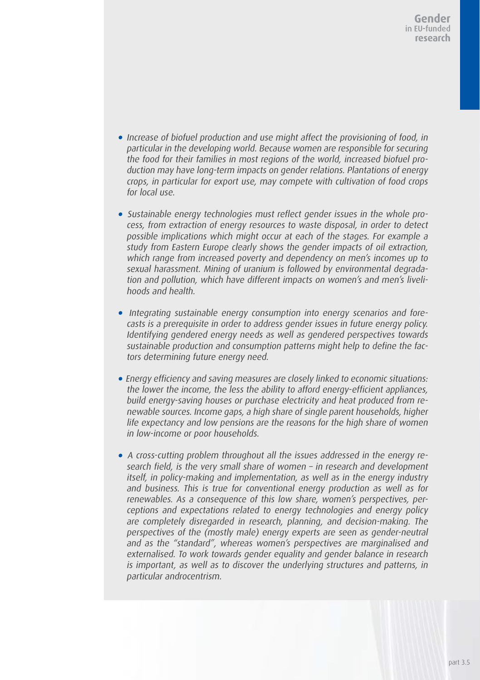- Increase of biofuel production and use might affect the provisioning of food, in particular in the developing world. Because women are responsible for securing the food for their families in most regions of the world, increased biofuel production may have long-term impacts on gender relations. Plantations of energy crops, in particular for export use, may compete with cultivation of food crops for local use.
- Sustainable energy technologies must reflect gender issues in the whole process, from extraction of energy resources to waste disposal, in order to detect possible implications which might occur at each of the stages. For example a study from Eastern Europe clearly shows the gender impacts of oil extraction, which range from increased poverty and dependency on men's incomes up to sexual harassment. Mining of uranium is followed by environmental degradation and pollution, which have different impacts on women's and men's livelihoods and health.
- Integrating sustainable energy consumption into energy scenarios and forecasts is a prerequisite in order to address gender issues in future energy policy. Identifying gendered energy needs as well as gendered perspectives towards sustainable production and consumption patterns might help to define the factors determining future energy need.
- Energy efficiency and saving measures are closely linked to economic situations: the lower the income, the less the ability to afford energy-efficient appliances, build energy-saving houses or purchase electricity and heat produced from renewable sources. Income gaps, a high share of single parent households, higher life expectancy and low pensions are the reasons for the high share of women in low-income or poor households.
- A cross-cutting problem throughout all the issues addressed in the energy research field, is the very small share of women – in research and development itself, in policy-making and implementation, as well as in the energy industry and business. This is true for conventional energy production as well as for renewables. As a consequence of this low share, women's perspectives, perceptions and expectations related to energy technologies and energy policy are completely disregarded in research, planning, and decision-making. The perspectives of the (mostly male) energy experts are seen as gender-neutral and as the "standard", whereas women's perspectives are marginalised and externalised. To work towards gender equality and gender balance in research is important, as well as to discover the underlying structures and patterns, in particular androcentrism.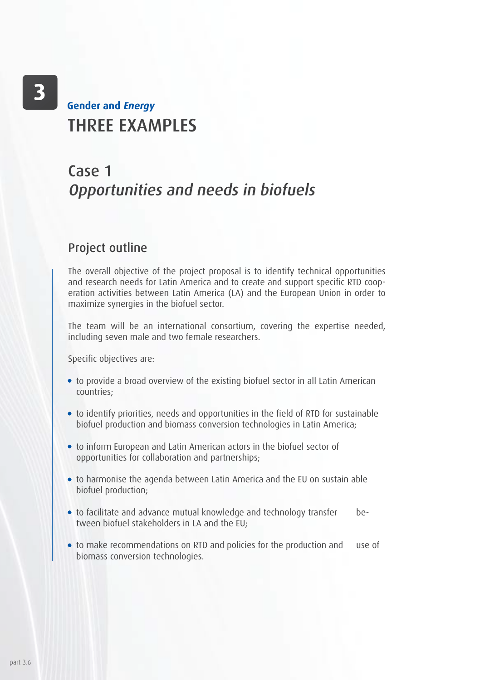# THRFF **FXAMPLES Gender and Energy**

## Case 1 Opportunities and needs in biofuels

### Project outline

The overall objective of the project proposal is to identify technical opportunities and research needs for Latin America and to create and support specific RTD cooperation activities between Latin America (LA) and the European Union in order to maximize synergies in the biofuel sector.

The team will be an international consortium, covering the expertise needed, including seven male and two female researchers.

Specific objectives are:

- to provide a broad overview of the existing biofuel sector in all Latin American countries;
- to identify priorities, needs and opportunities in the field of RTD for sustainable biofuel production and biomass conversion technologies in Latin America;
- to inform European and Latin American actors in the biofuel sector of opportunities for collaboration and partnerships;
- to harmonise the agenda between Latin America and the EU on sustain able biofuel production;
- to facilitate and advance mutual knowledge and technology transfer between biofuel stakeholders in LA and the EU;
- to make recommendations on RTD and policies for the production and use of biomass conversion technologies.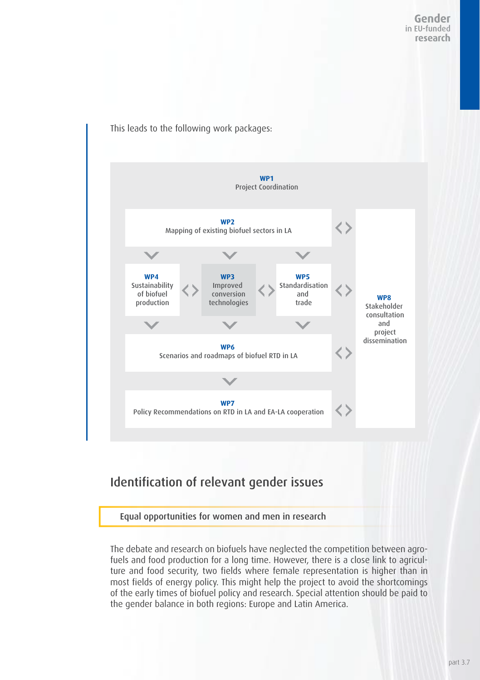

This leads to the following work packages:

## Identification of relevant gender issues

### Equal opportunities for women and men in research

The debate and research on biofuels have neglected the competition between agrofuels and food production for a long time. However, there is a close link to agriculture and food security, two fields where female representation is higher than in most fields of energy policy. This might help the project to avoid the shortcomings of the early times of biofuel policy and research. Special attention should be paid to the gender balance in both regions: Europe and Latin America.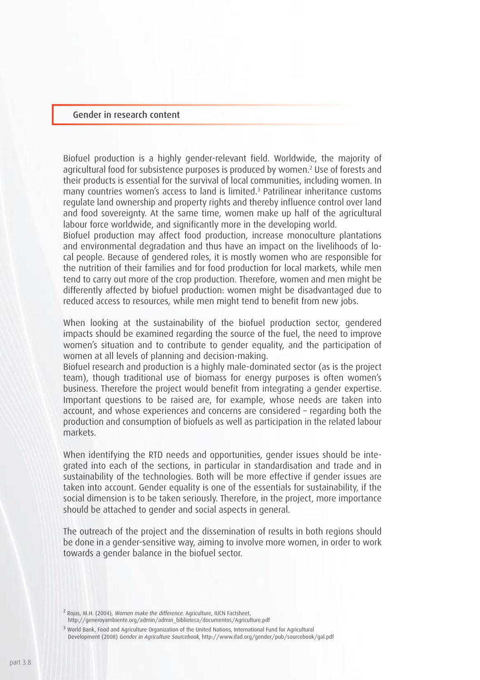#### Gender in research content

Biofuel production is a highly gender-relevant field. Worldwide, the majority of agricultural food for subsistence purposes is produced by women.2 Use of forests and their products is essential for the survival of local communities, including women. In many countries women's access to land is limited.3 Patrilinear inheritance customs regulate land ownership and property rights and thereby influence control over land and food sovereignty. At the same time, women make up half of the agricultural labour force worldwide, and significantly more in the developing world.

Biofuel production may affect food production, increase monoculture plantations and environmental degradation and thus have an impact on the livelihoods of local people. Because of gendered roles, it is mostly women who are responsible for the nutrition of their families and for food production for local markets, while men tend to carry out more of the crop production. Therefore, women and men might be differently affected by biofuel production: women might be disadvantaged due to reduced access to resources, while men might tend to benefit from new jobs.

When looking at the sustainability of the biofuel production sector, gendered impacts should be examined regarding the source of the fuel, the need to improve women's situation and to contribute to gender equality, and the participation of women at all levels of planning and decision-making.

Biofuel research and production is a highly male-dominated sector (as is the project team), though traditional use of biomass for energy purposes is often women's business. Therefore the project would benefit from integrating a gender expertise. Important questions to be raised are, for example, whose needs are taken into account, and whose experiences and concerns are considered – regarding both the production and consumption of biofuels as well as participation in the related labour markets.

When identifying the RTD needs and opportunities, gender issues should be integrated into each of the sections, in particular in standardisation and trade and in sustainability of the technologies. Both will be more effective if gender issues are taken into account. Gender equality is one of the essentials for sustainability, if the social dimension is to be taken seriously. Therefore, in the project, more importance should be attached to gender and social aspects in general.

The outreach of the project and the dissemination of results in both regions should be done in a gender-sensitive way, aiming to involve more women, in order to work towards a gender balance in the biofuel sector.

<sup>2</sup> Rojas, M.H. (2004), Women make the difference. Agriculture, IUCN Factsheet, http://generoyambiente.org/admin/admin\_biblioteca/documentos/Agriculture.pdf

<sup>3</sup> World Bank, Food and Agriculture Organization of the United Nations, International Fund for Agricultural Development (2008) Gender in Agriculture Sourcebook, http://www.ifad.org/gender/pub/sourcebook/gal.pdf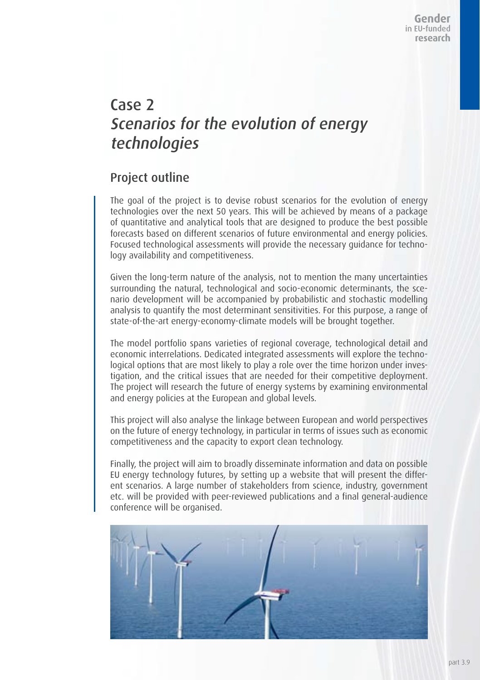## Case 2 Scenarios for the evolution of energy technologies

### Project outline

The goal of the project is to devise robust scenarios for the evolution of energy technologies over the next 50 years. This will be achieved by means of a package of quantitative and analytical tools that are designed to produce the best possible forecasts based on different scenarios of future environmental and energy policies. Focused technological assessments will provide the necessary guidance for technology availability and competitiveness.

Given the long-term nature of the analysis, not to mention the many uncertainties surrounding the natural, technological and socio-economic determinants, the scenario development will be accompanied by probabilistic and stochastic modelling analysis to quantify the most determinant sensitivities. For this purpose, a range of state-of-the-art energy-economy-climate models will be brought together.

The model portfolio spans varieties of regional coverage, technological detail and economic interrelations. Dedicated integrated assessments will explore the technological options that are most likely to play a role over the time horizon under investigation, and the critical issues that are needed for their competitive deployment. The project will research the future of energy systems by examining environmental and energy policies at the European and global levels.

This project will also analyse the linkage between European and world perspectives on the future of energy technology, in particular in terms of issues such as economic competitiveness and the capacity to export clean technology.

Finally, the project will aim to broadly disseminate information and data on possible EU energy technology futures, by setting up a website that will present the different scenarios. A large number of stakeholders from science, industry, government etc. will be provided with peer-reviewed publications and a final general-audience conference will be organised.

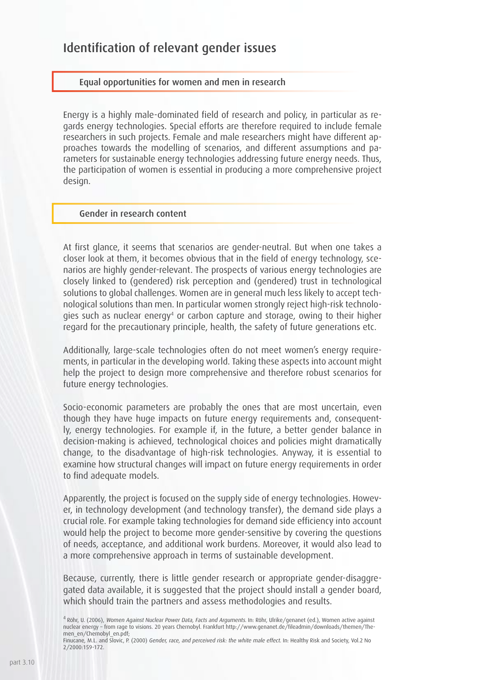### Identification of relevant gender issues

### Equal opportunities for women and men in research

Energy is a highly male-dominated field of research and policy, in particular as regards energy technologies. Special efforts are therefore required to include female researchers in such projects. Female and male researchers might have different approaches towards the modelling of scenarios, and different assumptions and parameters for sustainable energy technologies addressing future energy needs. Thus, the participation of women is essential in producing a more comprehensive project design.

#### Gender in research content

At first glance, it seems that scenarios are gender-neutral. But when one takes a closer look at them, it becomes obvious that in the field of energy technology, scenarios are highly gender-relevant. The prospects of various energy technologies are closely linked to (gendered) risk perception and (gendered) trust in technological solutions to global challenges. Women are in general much less likely to accept technological solutions than men. In particular women strongly reject high-risk technologies such as nuclear energy4 or carbon capture and storage, owing to their higher regard for the precautionary principle, health, the safety of future generations etc.

Additionally, large-scale technologies often do not meet women's energy requirements, in particular in the developing world. Taking these aspects into account might help the project to design more comprehensive and therefore robust scenarios for future energy technologies.

Socio-economic parameters are probably the ones that are most uncertain, even though they have huge impacts on future energy requirements and, consequently, energy technologies. For example if, in the future, a better gender balance in decision-making is achieved, technological choices and policies might dramatically change, to the disadvantage of high-risk technologies. Anyway, it is essential to examine how structural changes will impact on future energy requirements in order to find adequate models.

Apparently, the project is focused on the supply side of energy technologies. However, in technology development (and technology transfer), the demand side plays a crucial role. For example taking technologies for demand side efficiency into account would help the project to become more gender-sensitive by covering the questions of needs, acceptance, and additional work burdens. Moreover, it would also lead to a more comprehensive approach in terms of sustainable development.

Because, currently, there is little gender research or appropriate gender-disaggregated data available, it is suggested that the project should install a gender board, which should train the partners and assess methodologies and results.

4 Röhr, U. (2006), Women Against Nuclear Power Data, Facts and Arguments. In: Röhr, Ulrike/genanet (ed.), Women active against nuclear energy – from rage to visions. 20 years Chernobyl. Frankfurt http://www.genanet.de/fileadmin/downloads/themen/Themen\_en/Chernobyl\_en.pdf;

Finucane, M.L. and Slovic, P. (2000) Gender, race, and perceived risk: the white male effect. In: Healthy Risk and Society, Vol.2 No 2/2000:159-172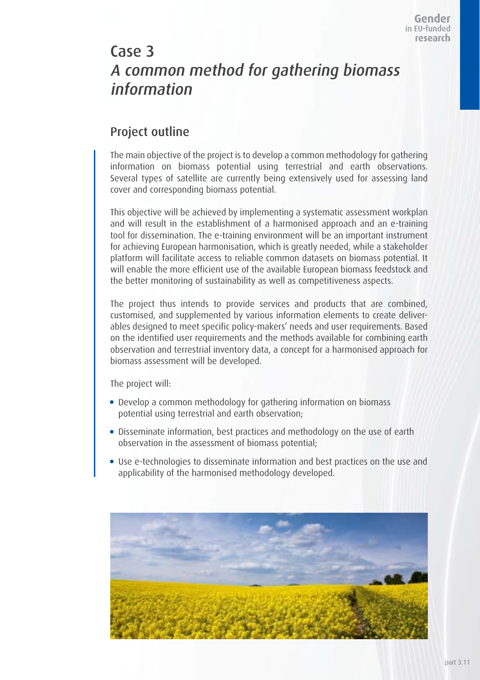## Case 3 A common method for gathering biomass information

### Project outline

The main objective of the project is to develop a common methodology for gathering information on biomass potential using terrestrial and earth observations. Several types of satellite are currently being extensively used for assessing land cover and corresponding biomass potential.

This objective will be achieved by implementing a systematic assessment workplan and will result in the establishment of a harmonised approach and an e-training tool for dissemination. The e-training environment will be an important instrument for achieving European harmonisation, which is greatly needed, while a stakeholder platform will facilitate access to reliable common datasets on biomass potential. It will enable the more efficient use of the available European biomass feedstock and the better monitoring of sustainability as well as competitiveness aspects.

The project thus intends to provide services and products that are combined, customised, and supplemented by various information elements to create deliverables designed to meet specific policy-makers' needs and user requirements. Based on the identified user requirements and the methods available for combining earth observation and terrestrial inventory data, a concept for a harmonised approach for biomass assessment will be developed.

The project will:

- Develop a common methodology for gathering information on biomass potential using terrestrial and earth observation;
- Disseminate information, best practices and methodology on the use of earth observation in the assessment of biomass potential;
- Use e-technologies to disseminate information and best practices on the use and applicability of the harmonised methodology developed.

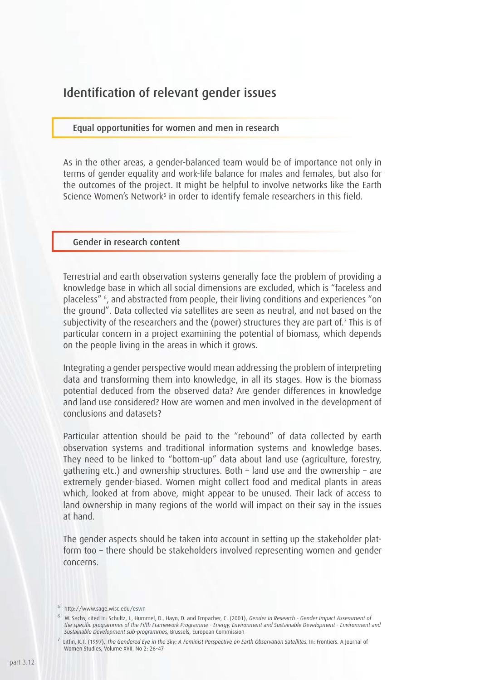### Identification of relevant gender issues

### Equal opportunities for women and men in research

As in the other areas, a gender-balanced team would be of importance not only in terms of gender equality and work-life balance for males and females, but also for the outcomes of the project. It might be helpful to involve networks like the Earth Science Women's Network<sup>s</sup> in order to identify female researchers in this field.

#### Gender in research content

Terrestrial and earth observation systems generally face the problem of providing a knowledge base in which all social dimensions are excluded, which is "faceless and placeless" 6 , and abstracted from people, their living conditions and experiences "on the ground". Data collected via satellites are seen as neutral, and not based on the subjectivity of the researchers and the (power) structures they are part of.7 This is of particular concern in a project examining the potential of biomass, which depends on the people living in the areas in which it grows.

Integrating a gender perspective would mean addressing the problem of interpreting data and transforming them into knowledge, in all its stages. How is the biomass potential deduced from the observed data? Are gender differences in knowledge and land use considered? How are women and men involved in the development of conclusions and datasets?

Particular attention should be paid to the "rebound" of data collected by earth observation systems and traditional information systems and knowledge bases. They need to be linked to "bottom-up" data about land use (agriculture, forestry, gathering etc.) and ownership structures. Both – land use and the ownership – are extremely gender-biased. Women might collect food and medical plants in areas which, looked at from above, might appear to be unused. Their lack of access to land ownership in many regions of the world will impact on their say in the issues at hand.

The gender aspects should be taken into account in setting up the stakeholder platform too – there should be stakeholders involved representing women and gender concerns.

<sup>5</sup> http://www.sage.wisc.edu/eswn

<sup>&</sup>lt;sup>6</sup> W. Sachs, cited in: Schultz, I., Hummel, D., Hayn, D. and Empacher, C. (2001), Gender in Research - Gender Impact Assessment of the specific programmes of the Fifth Framework Programme - Energy, Environment and Sustainable Development - Environment and Sustainable Development sub-programmes, Brussels, European Commission

 $^7$  Litfin, K.T. (1997), The Gendered Eye in the Sky: A Feminist Perspective on Earth Observation Satellites. In: Frontiers. A Journal of Women Studies, Volume XVII. No 2: 26-47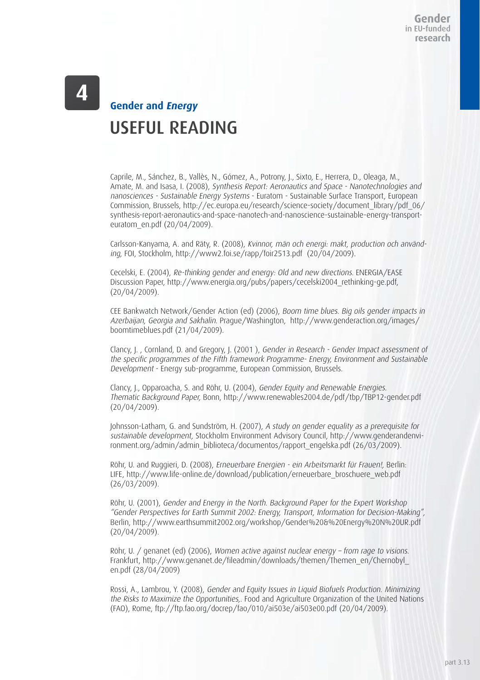# USEFUL READING **Gender and Energy**

Caprile, M., Sánchez, B., Vallès, N., Gómez, A., Potrony, J., Sixto, E., Herrera, D., Oleaga, M., Amate, M. and Isasa, I. (2008), Synthesis Report: Aeronautics and Space - Nanotechnologies and nanosciences - Sustainable Energy Systems - Euratom - Sustainable Surface Transport, European Commission, Brussels, http://ec.europa.eu/research/science-society/document\_library/pdf\_06/ synthesis-report-aeronautics-and-space-nanotech-and-nanoscience-sustainable-energy-transporteuratom\_en.pdf (20/04/2009).

Carlsson-Kanyama, A. and Räty, R. (2008), Kvinnor, män och energi: makt, production och använding, FOI, Stockholm, http://www2.foi.se/rapp/foir2513.pdf (20/04/2009).

Cecelski, E. (2004), Re-thinking gender and energy: Old and new directions. ENERGIA/EASE Discussion Paper, http://www.energia.org/pubs/papers/cecelski2004\_rethinking-ge.pdf, (20/04/2009).

CEE Bankwatch Network/Gender Action (ed) (2006), Boom time blues. Big oils gender impacts in Azerbaijan, Georgia and Sakhalin. Prague/Washington, http://www.genderaction.org/images/ boomtimeblues.pdf (21/04/2009).

Clancy, J. , Cornland, D. and Gregory, J. (2001 ), Gender in Research - Gender Impact assessment of the specific programmes of the Fifth framework Programme- Energy, Environment and Sustainable Development - Energy sub-programme, European Commission, Brussels.

Clancy, J., Opparoacha, S. and Röhr, U. (2004), Gender Equity and Renewable Energies. Thematic Background Paper, Bonn, http://www.renewables2004.de/pdf/tbp/TBP12-gender.pdf (20/04/2009).

Johnsson-Latham, G. and Sundström, H. (2007), A study on gender equality as a prerequisite for sustainable development, Stockholm Environment Advisory Council, http://www.genderandenvironment.org/admin/admin\_biblioteca/documentos/rapport\_engelska.pdf (26/03/2009).

Röhr, U. and Ruggieri, D. (2008), Erneuerbare Energien - ein Arbeitsmarkt für Frauen!, Berlin: LIFE, http://www.life-online.de/download/publication/erneuerbare\_broschuere\_web.pdf (26/03/2009).

Röhr, U. (2001), Gender and Energy in the North. Background Paper for the Expert Workshop "Gender Perspectives for Earth Summit 2002: Energy, Transport, Information for Decision-Making", Berlin, http://www.earthsummit2002.org/workshop/Gender%20&%20Energy%20N%20UR.pdf (20/04/2009).

Röhr, U. / genanet (ed) (2006), Women active against nuclear energy – from rage to visions. Frankfurt, http://www.genanet.de/fileadmin/downloads/themen/Themen\_en/Chernobyl\_ en.pdf (28/04/2009)

Rossi, A., Lambrou, Y. (2008), Gender and Equity Issues in Liquid Biofuels Production. Minimizing the Risks to Maximize the Opportunities,. Food and Agriculture Organization of the United Nations (FAO), Rome, ftp://ftp.fao.org/docrep/fao/010/ai503e/ai503e00.pdf (20/04/2009).